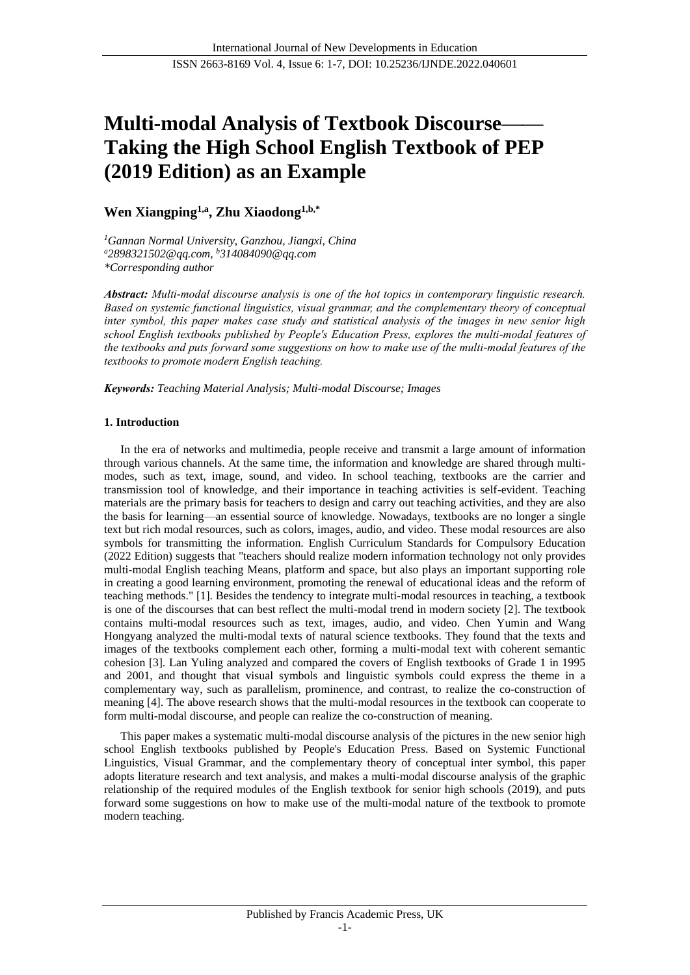# **Multi-modal Analysis of Textbook Discourse—— Taking the High School English Textbook of PEP (2019 Edition) as an Example**

# **Wen Xiangping1,a, Zhu Xiaodong1,b,\***

*<sup>1</sup>Gannan Normal University, Ganzhou, Jiangxi, China <sup>a</sup>2898321502@qq.com, <sup>b</sup>314084090@qq.com \*Corresponding author*

*Abstract: Multi-modal discourse analysis is one of the hot topics in contemporary linguistic research. Based on systemic functional linguistics, visual grammar, and the complementary theory of conceptual inter symbol, this paper makes case study and statistical analysis of the images in new senior high school English textbooks published by People's Education Press, explores the multi-modal features of the textbooks and puts forward some suggestions on how to make use of the multi-modal features of the textbooks to promote modern English teaching.*

*Keywords: Teaching Material Analysis; Multi-modal Discourse; Images*

# **1. Introduction**

In the era of networks and multimedia, people receive and transmit a large amount of information through various channels. At the same time, the information and knowledge are shared through multimodes, such as text, image, sound, and video. In school teaching, textbooks are the carrier and transmission tool of knowledge, and their importance in teaching activities is self-evident. Teaching materials are the primary basis for teachers to design and carry out teaching activities, and they are also the basis for learning—an essential source of knowledge. Nowadays, textbooks are no longer a single text but rich modal resources, such as colors, images, audio, and video. These modal resources are also symbols for transmitting the information. English Curriculum Standards for Compulsory Education (2022 Edition) suggests that "teachers should realize modern information technology not only provides multi-modal English teaching Means, platform and space, but also plays an important supporting role in creating a good learning environment, promoting the renewal of educational ideas and the reform of teaching methods." [1]. Besides the tendency to integrate multi-modal resources in teaching, a textbook is one of the discourses that can best reflect the multi-modal trend in modern society [2]. The textbook contains multi-modal resources such as text, images, audio, and video. Chen Yumin and Wang Hongyang analyzed the multi-modal texts of natural science textbooks. They found that the texts and images of the textbooks complement each other, forming a multi-modal text with coherent semantic cohesion [3]. Lan Yuling analyzed and compared the covers of English textbooks of Grade 1 in 1995 and 2001, and thought that visual symbols and linguistic symbols could express the theme in a complementary way, such as parallelism, prominence, and contrast, to realize the co-construction of meaning [4]. The above research shows that the multi-modal resources in the textbook can cooperate to form multi-modal discourse, and people can realize the co-construction of meaning.

This paper makes a systematic multi-modal discourse analysis of the pictures in the new senior high school English textbooks published by People's Education Press. Based on Systemic Functional Linguistics, Visual Grammar, and the complementary theory of conceptual inter symbol, this paper adopts literature research and text analysis, and makes a multi-modal discourse analysis of the graphic relationship of the required modules of the English textbook for senior high schools (2019), and puts forward some suggestions on how to make use of the multi-modal nature of the textbook to promote modern teaching.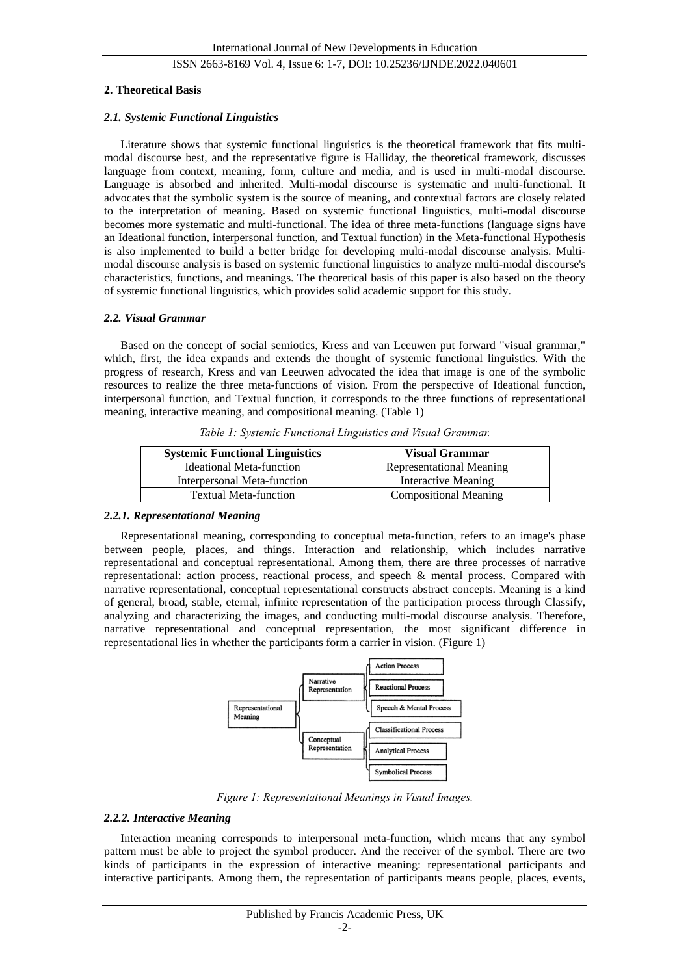#### **2. Theoretical Basis**

#### *2.1. Systemic Functional Linguistics*

Literature shows that systemic functional linguistics is the theoretical framework that fits multimodal discourse best, and the representative figure is Halliday, the theoretical framework, discusses language from context, meaning, form, culture and media, and is used in multi-modal discourse. Language is absorbed and inherited. Multi-modal discourse is systematic and multi-functional. It advocates that the symbolic system is the source of meaning, and contextual factors are closely related to the interpretation of meaning. Based on systemic functional linguistics, multi-modal discourse becomes more systematic and multi-functional. The idea of three meta-functions (language signs have an Ideational function, interpersonal function, and Textual function) in the Meta-functional Hypothesis is also implemented to build a better bridge for developing multi-modal discourse analysis. Multimodal discourse analysis is based on systemic functional linguistics to analyze multi-modal discourse's characteristics, functions, and meanings. The theoretical basis of this paper is also based on the theory of systemic functional linguistics, which provides solid academic support for this study.

#### *2.2. Visual Grammar*

Based on the concept of social semiotics, Kress and van Leeuwen put forward "visual grammar," which, first, the idea expands and extends the thought of systemic functional linguistics. With the progress of research, Kress and van Leeuwen advocated the idea that image is one of the symbolic resources to realize the three meta-functions of vision. From the perspective of Ideational function, interpersonal function, and Textual function, it corresponds to the three functions of representational meaning, interactive meaning, and compositional meaning. (Table 1)

| <b>Systemic Functional Linguistics</b> | <b>Visual Grammar</b>        |  |  |
|----------------------------------------|------------------------------|--|--|
| Ideational Meta-function               | Representational Meaning     |  |  |
| Interpersonal Meta-function            | Interactive Meaning          |  |  |
| <b>Textual Meta-function</b>           | <b>Compositional Meaning</b> |  |  |

*Table 1: Systemic Functional Linguistics and Visual Grammar.*

### *2.2.1. Representational Meaning*

Representational meaning, corresponding to conceptual meta-function, refers to an image's phase between people, places, and things. Interaction and relationship, which includes narrative representational and conceptual representational. Among them, there are three processes of narrative representational: action process, reactional process, and speech & mental process. Compared with narrative representational, conceptual representational constructs abstract concepts. Meaning is a kind of general, broad, stable, eternal, infinite representation of the participation process through Classify, analyzing and characterizing the images, and conducting multi-modal discourse analysis. Therefore, narrative representational and conceptual representation, the most significant difference in representational lies in whether the participants form a carrier in vision. (Figure 1)



*Figure 1: Representational Meanings in Visual Images.*

#### *2.2.2. Interactive Meaning*

Interaction meaning corresponds to interpersonal meta-function, which means that any symbol pattern must be able to project the symbol producer. And the receiver of the symbol. There are two kinds of participants in the expression of interactive meaning: representational participants and interactive participants. Among them, the representation of participants means people, places, events,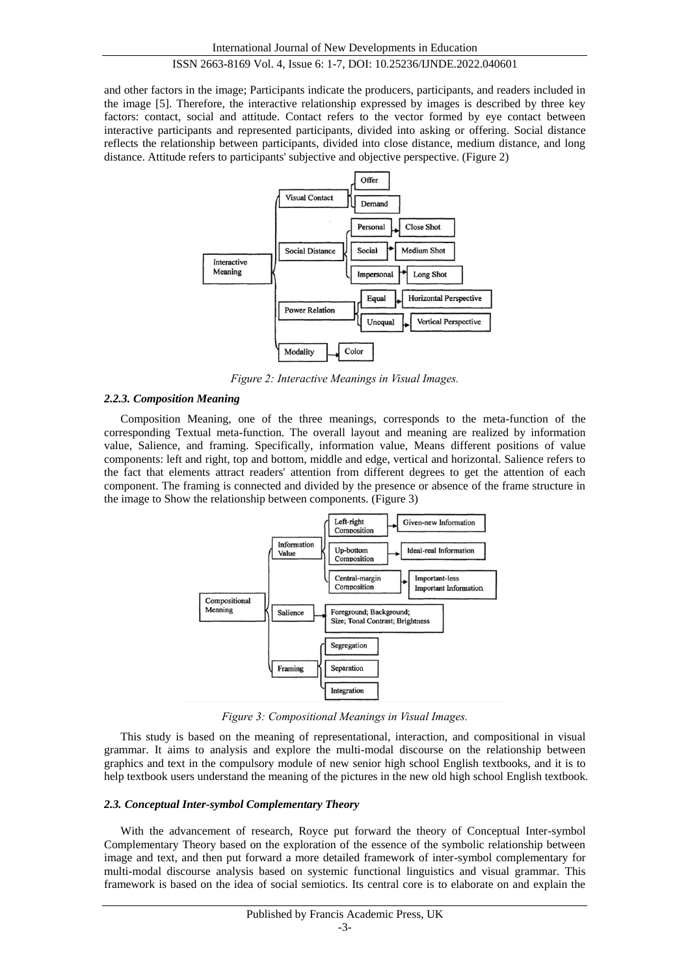and other factors in the image; Participants indicate the producers, participants, and readers included in the image [5]. Therefore, the interactive relationship expressed by images is described by three key factors: contact, social and attitude. Contact refers to the vector formed by eye contact between interactive participants and represented participants, divided into asking or offering. Social distance reflects the relationship between participants, divided into close distance, medium distance, and long distance. Attitude refers to participants' subjective and objective perspective. (Figure 2)



*Figure 2: Interactive Meanings in Visual Images.*

#### *2.2.3. Composition Meaning*

Composition Meaning, one of the three meanings, corresponds to the meta-function of the corresponding Textual meta-function. The overall layout and meaning are realized by information value, Salience, and framing. Specifically, information value, Means different positions of value components: left and right, top and bottom, middle and edge, vertical and horizontal. Salience refers to the fact that elements attract readers' attention from different degrees to get the attention of each component. The framing is connected and divided by the presence or absence of the frame structure in the image to Show the relationship between components. (Figure 3)



*Figure 3: Compositional Meanings in Visual Images.*

This study is based on the meaning of representational, interaction, and compositional in visual grammar. It aims to analysis and explore the multi-modal discourse on the relationship between graphics and text in the compulsory module of new senior high school English textbooks, and it is to help textbook users understand the meaning of the pictures in the new old high school English textbook.

#### *2.3. Conceptual Inter-symbol Complementary Theory*

With the advancement of research, Royce put forward the theory of Conceptual Inter-symbol Complementary Theory based on the exploration of the essence of the symbolic relationship between image and text, and then put forward a more detailed framework of inter-symbol complementary for multi-modal discourse analysis based on systemic functional linguistics and visual grammar. This framework is based on the idea of social semiotics. Its central core is to elaborate on and explain the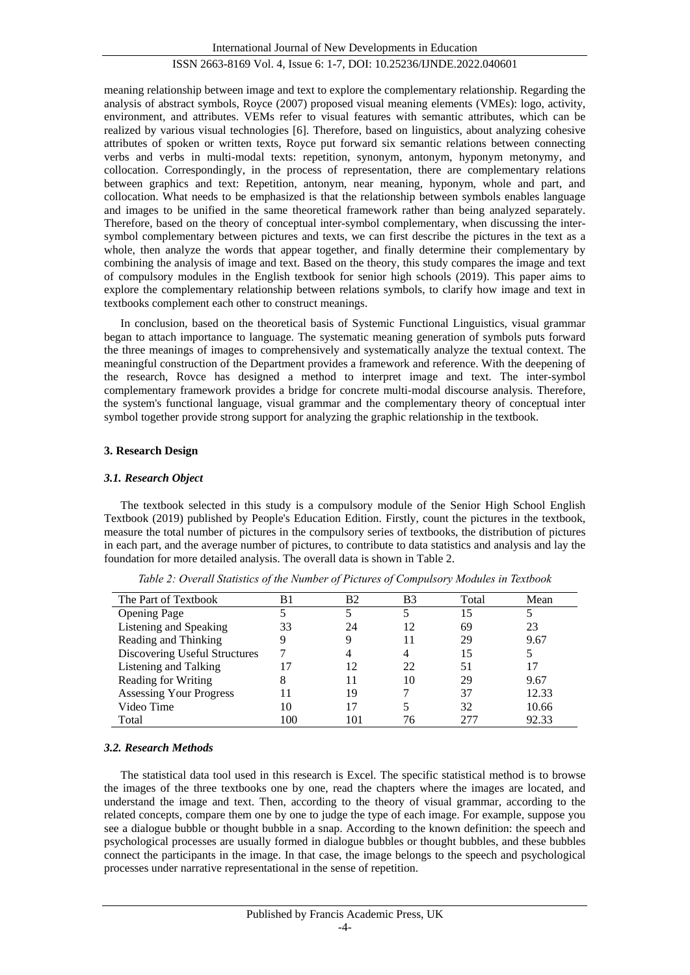meaning relationship between image and text to explore the complementary relationship. Regarding the analysis of abstract symbols, Royce (2007) proposed visual meaning elements (VMEs): logo, activity, environment, and attributes. VEMs refer to visual features with semantic attributes, which can be realized by various visual technologies [6]. Therefore, based on linguistics, about analyzing cohesive attributes of spoken or written texts, Royce put forward six semantic relations between connecting verbs and verbs in multi-modal texts: repetition, synonym, antonym, hyponym metonymy, and collocation. Correspondingly, in the process of representation, there are complementary relations between graphics and text: Repetition, antonym, near meaning, hyponym, whole and part, and collocation. What needs to be emphasized is that the relationship between symbols enables language and images to be unified in the same theoretical framework rather than being analyzed separately. Therefore, based on the theory of conceptual inter-symbol complementary, when discussing the intersymbol complementary between pictures and texts, we can first describe the pictures in the text as a whole, then analyze the words that appear together, and finally determine their complementary by combining the analysis of image and text. Based on the theory, this study compares the image and text of compulsory modules in the English textbook for senior high schools (2019). This paper aims to explore the complementary relationship between relations symbols, to clarify how image and text in textbooks complement each other to construct meanings.

In conclusion, based on the theoretical basis of Systemic Functional Linguistics, visual grammar began to attach importance to language. The systematic meaning generation of symbols puts forward the three meanings of images to comprehensively and systematically analyze the textual context. The meaningful construction of the Department provides a framework and reference. With the deepening of the research, Rovce has designed a method to interpret image and text. The inter-symbol complementary framework provides a bridge for concrete multi-modal discourse analysis. Therefore, the system's functional language, visual grammar and the complementary theory of conceptual inter symbol together provide strong support for analyzing the graphic relationship in the textbook.

#### **3. Research Design**

#### *3.1. Research Object*

The textbook selected in this study is a compulsory module of the Senior High School English Textbook (2019) published by People's Education Edition. Firstly, count the pictures in the textbook, measure the total number of pictures in the compulsory series of textbooks, the distribution of pictures in each part, and the average number of pictures, to contribute to data statistics and analysis and lay the foundation for more detailed analysis. The overall data is shown in Table 2.

| The Part of Textbook           | B1  | B2  | B <sub>3</sub> | Total | Mean  |
|--------------------------------|-----|-----|----------------|-------|-------|
| <b>Opening Page</b>            |     |     |                | 15    |       |
| Listening and Speaking         | 33  | 24  | 12             | 69    | 23    |
| Reading and Thinking           | 9   | 9   |                | 29    | 9.67  |
| Discovering Useful Structures  |     | 4   |                | 15    |       |
| Listening and Talking          |     | 12  | 22             | 51    | 17    |
| Reading for Writing            |     | 11  | 10             | 29    | 9.67  |
| <b>Assessing Your Progress</b> |     | 19  |                | 37    | 12.33 |
| Video Time                     | 10  | 17  |                | 32    | 10.66 |
| Total                          | 100 | 101 | 76             |       | 92.33 |

*Table 2: Overall Statistics of the Number of Pictures of Compulsory Modules in Textbook*

#### *3.2. Research Methods*

The statistical data tool used in this research is Excel. The specific statistical method is to browse the images of the three textbooks one by one, read the chapters where the images are located, and understand the image and text. Then, according to the theory of visual grammar, according to the related concepts, compare them one by one to judge the type of each image. For example, suppose you see a dialogue bubble or thought bubble in a snap. According to the known definition: the speech and psychological processes are usually formed in dialogue bubbles or thought bubbles, and these bubbles connect the participants in the image. In that case, the image belongs to the speech and psychological processes under narrative representational in the sense of repetition.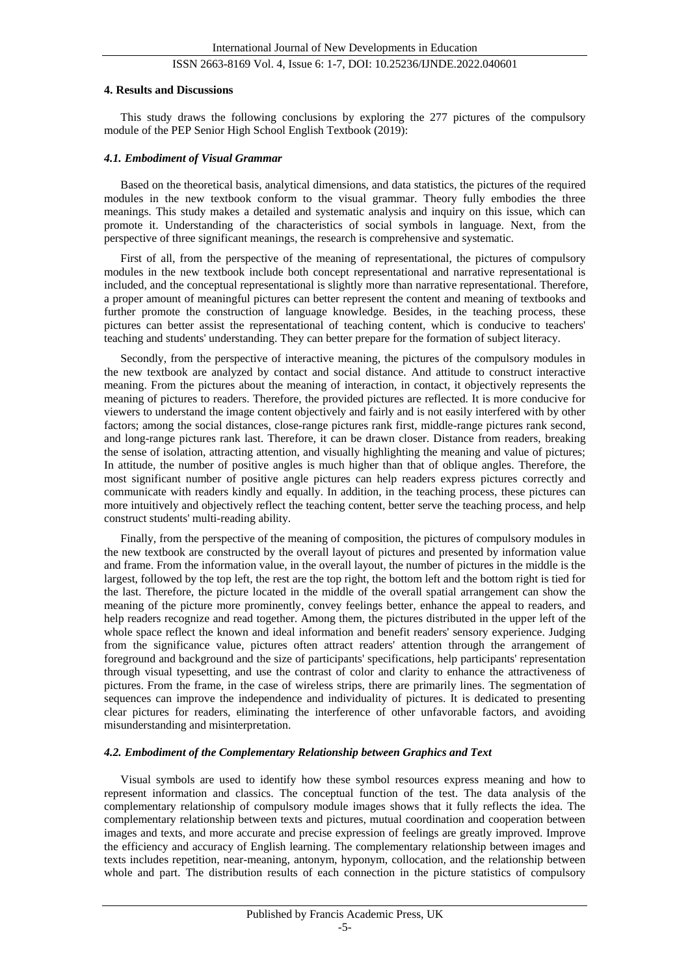#### **4. Results and Discussions**

This study draws the following conclusions by exploring the 277 pictures of the compulsory module of the PEP Senior High School English Textbook (2019):

#### *4.1. Embodiment of Visual Grammar*

Based on the theoretical basis, analytical dimensions, and data statistics, the pictures of the required modules in the new textbook conform to the visual grammar. Theory fully embodies the three meanings. This study makes a detailed and systematic analysis and inquiry on this issue, which can promote it. Understanding of the characteristics of social symbols in language. Next, from the perspective of three significant meanings, the research is comprehensive and systematic.

First of all, from the perspective of the meaning of representational, the pictures of compulsory modules in the new textbook include both concept representational and narrative representational is included, and the conceptual representational is slightly more than narrative representational. Therefore, a proper amount of meaningful pictures can better represent the content and meaning of textbooks and further promote the construction of language knowledge. Besides, in the teaching process, these pictures can better assist the representational of teaching content, which is conducive to teachers' teaching and students' understanding. They can better prepare for the formation of subject literacy.

Secondly, from the perspective of interactive meaning, the pictures of the compulsory modules in the new textbook are analyzed by contact and social distance. And attitude to construct interactive meaning. From the pictures about the meaning of interaction, in contact, it objectively represents the meaning of pictures to readers. Therefore, the provided pictures are reflected. It is more conducive for viewers to understand the image content objectively and fairly and is not easily interfered with by other factors; among the social distances, close-range pictures rank first, middle-range pictures rank second, and long-range pictures rank last. Therefore, it can be drawn closer. Distance from readers, breaking the sense of isolation, attracting attention, and visually highlighting the meaning and value of pictures; In attitude, the number of positive angles is much higher than that of oblique angles. Therefore, the most significant number of positive angle pictures can help readers express pictures correctly and communicate with readers kindly and equally. In addition, in the teaching process, these pictures can more intuitively and objectively reflect the teaching content, better serve the teaching process, and help construct students' multi-reading ability.

Finally, from the perspective of the meaning of composition, the pictures of compulsory modules in the new textbook are constructed by the overall layout of pictures and presented by information value and frame. From the information value, in the overall layout, the number of pictures in the middle is the largest, followed by the top left, the rest are the top right, the bottom left and the bottom right is tied for the last. Therefore, the picture located in the middle of the overall spatial arrangement can show the meaning of the picture more prominently, convey feelings better, enhance the appeal to readers, and help readers recognize and read together. Among them, the pictures distributed in the upper left of the whole space reflect the known and ideal information and benefit readers' sensory experience. Judging from the significance value, pictures often attract readers' attention through the arrangement of foreground and background and the size of participants' specifications, help participants' representation through visual typesetting, and use the contrast of color and clarity to enhance the attractiveness of pictures. From the frame, in the case of wireless strips, there are primarily lines. The segmentation of sequences can improve the independence and individuality of pictures. It is dedicated to presenting clear pictures for readers, eliminating the interference of other unfavorable factors, and avoiding misunderstanding and misinterpretation.

#### *4.2. Embodiment of the Complementary Relationship between Graphics and Text*

Visual symbols are used to identify how these symbol resources express meaning and how to represent information and classics. The conceptual function of the test. The data analysis of the complementary relationship of compulsory module images shows that it fully reflects the idea. The complementary relationship between texts and pictures, mutual coordination and cooperation between images and texts, and more accurate and precise expression of feelings are greatly improved. Improve the efficiency and accuracy of English learning. The complementary relationship between images and texts includes repetition, near-meaning, antonym, hyponym, collocation, and the relationship between whole and part. The distribution results of each connection in the picture statistics of compulsory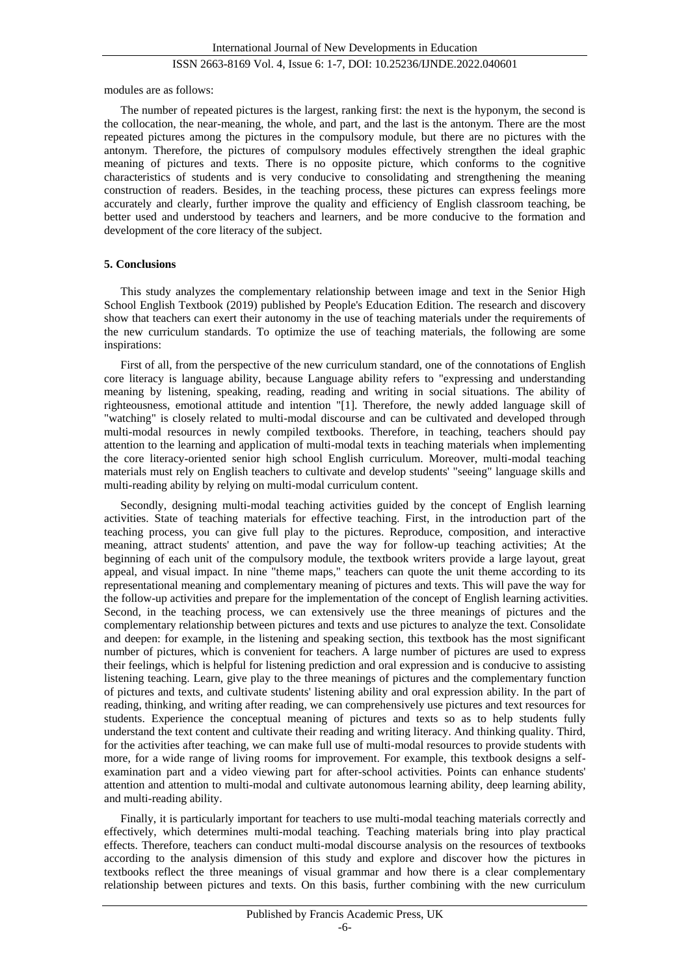modules are as follows:

The number of repeated pictures is the largest, ranking first: the next is the hyponym, the second is the collocation, the near-meaning, the whole, and part, and the last is the antonym. There are the most repeated pictures among the pictures in the compulsory module, but there are no pictures with the antonym. Therefore, the pictures of compulsory modules effectively strengthen the ideal graphic meaning of pictures and texts. There is no opposite picture, which conforms to the cognitive characteristics of students and is very conducive to consolidating and strengthening the meaning construction of readers. Besides, in the teaching process, these pictures can express feelings more accurately and clearly, further improve the quality and efficiency of English classroom teaching, be better used and understood by teachers and learners, and be more conducive to the formation and development of the core literacy of the subject.

#### **5. Conclusions**

This study analyzes the complementary relationship between image and text in the Senior High School English Textbook (2019) published by People's Education Edition. The research and discovery show that teachers can exert their autonomy in the use of teaching materials under the requirements of the new curriculum standards. To optimize the use of teaching materials, the following are some inspirations:

First of all, from the perspective of the new curriculum standard, one of the connotations of English core literacy is language ability, because Language ability refers to "expressing and understanding meaning by listening, speaking, reading, reading and writing in social situations. The ability of righteousness, emotional attitude and intention "[1]. Therefore, the newly added language skill of "watching" is closely related to multi-modal discourse and can be cultivated and developed through multi-modal resources in newly compiled textbooks. Therefore, in teaching, teachers should pay attention to the learning and application of multi-modal texts in teaching materials when implementing the core literacy-oriented senior high school English curriculum. Moreover, multi-modal teaching materials must rely on English teachers to cultivate and develop students' "seeing" language skills and multi-reading ability by relying on multi-modal curriculum content.

Secondly, designing multi-modal teaching activities guided by the concept of English learning activities. State of teaching materials for effective teaching. First, in the introduction part of the teaching process, you can give full play to the pictures. Reproduce, composition, and interactive meaning, attract students' attention, and pave the way for follow-up teaching activities; At the beginning of each unit of the compulsory module, the textbook writers provide a large layout, great appeal, and visual impact. In nine "theme maps," teachers can quote the unit theme according to its representational meaning and complementary meaning of pictures and texts. This will pave the way for the follow-up activities and prepare for the implementation of the concept of English learning activities. Second, in the teaching process, we can extensively use the three meanings of pictures and the complementary relationship between pictures and texts and use pictures to analyze the text. Consolidate and deepen: for example, in the listening and speaking section, this textbook has the most significant number of pictures, which is convenient for teachers. A large number of pictures are used to express their feelings, which is helpful for listening prediction and oral expression and is conducive to assisting listening teaching. Learn, give play to the three meanings of pictures and the complementary function of pictures and texts, and cultivate students' listening ability and oral expression ability. In the part of reading, thinking, and writing after reading, we can comprehensively use pictures and text resources for students. Experience the conceptual meaning of pictures and texts so as to help students fully understand the text content and cultivate their reading and writing literacy. And thinking quality. Third, for the activities after teaching, we can make full use of multi-modal resources to provide students with more, for a wide range of living rooms for improvement. For example, this textbook designs a selfexamination part and a video viewing part for after-school activities. Points can enhance students' attention and attention to multi-modal and cultivate autonomous learning ability, deep learning ability, and multi-reading ability.

Finally, it is particularly important for teachers to use multi-modal teaching materials correctly and effectively, which determines multi-modal teaching. Teaching materials bring into play practical effects. Therefore, teachers can conduct multi-modal discourse analysis on the resources of textbooks according to the analysis dimension of this study and explore and discover how the pictures in textbooks reflect the three meanings of visual grammar and how there is a clear complementary relationship between pictures and texts. On this basis, further combining with the new curriculum